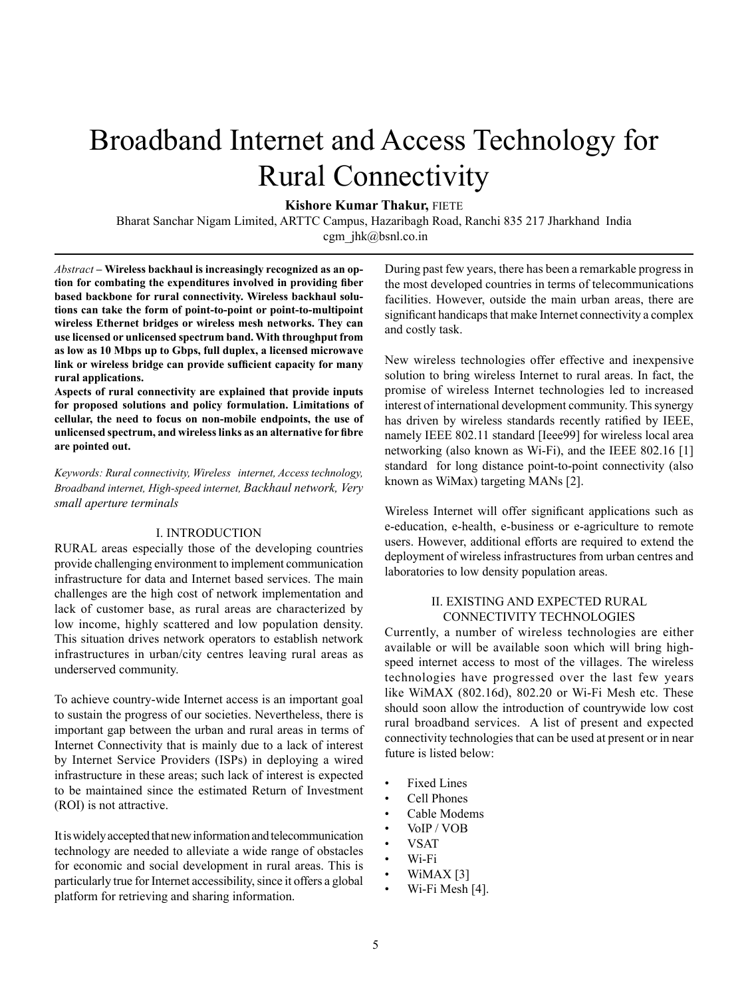# Broadband Internet and Access Technology for Rural Connectivity

**Kishore Kumar Thakur,** FIETE

Bharat Sanchar Nigam Limited, ARTTC Campus, Hazaribagh Road, Ranchi 835 217 Jharkhand India cgm\_jhk@bsnl.co.in

*Abstract –* **Wireless backhaul is increasingly recognized as an option for combating the expenditures involved in providing fiber based backbone for rural connectivity. Wireless backhaul solutions can take the form of point-to-point or point-to-multipoint wireless Ethernet bridges or wireless mesh networks. They can use licensed or unlicensed spectrum band. With throughput from as low as 10 Mbps up to Gbps, full duplex, a licensed microwave link or wireless bridge can provide sufficient capacity for many rural applications.**

**Aspects of rural connectivity are explained that provide inputs for proposed solutions and policy formulation. Limitations of cellular, the need to focus on non-mobile endpoints, the use of unlicensed spectrum, and wireless links as an alternative for fibre are pointed out.**

*Keywords: Rural connectivity, Wireless internet, Access technology, Broadband internet, High-speed internet, Backhaul network, Very small aperture terminals*

## I. INTRODUCTION

RURAL areas especially those of the developing countries provide challenging environment to implement communication infrastructure for data and Internet based services. The main challenges are the high cost of network implementation and lack of customer base, as rural areas are characterized by low income, highly scattered and low population density. This situation drives network operators to establish network infrastructures in urban/city centres leaving rural areas as underserved community.

To achieve country-wide Internet access is an important goal to sustain the progress of our societies. Nevertheless, there is important gap between the urban and rural areas in terms of Internet Connectivity that is mainly due to a lack of interest by Internet Service Providers (ISPs) in deploying a wired infrastructure in these areas; such lack of interest is expected to be maintained since the estimated Return of Investment (ROI) is not attractive.

It is widely accepted that new information and telecommunication technology are needed to alleviate a wide range of obstacles for economic and social development in rural areas. This is particularly true for Internet accessibility, since it offers a global platform for retrieving and sharing information.

During past few years, there has been a remarkable progress in the most developed countries in terms of telecommunications facilities. However, outside the main urban areas, there are significant handicaps that make Internet connectivity a complex and costly task.

New wireless technologies offer effective and inexpensive solution to bring wireless Internet to rural areas. In fact, the promise of wireless Internet technologies led to increased interest of international development community. This synergy has driven by wireless standards recently ratified by IEEE, namely IEEE 802.11 standard [Ieee99] for wireless local area networking (also known as Wi-Fi), and the IEEE 802.16 [1] standard for long distance point-to-point connectivity (also known as WiMax) targeting MANs [2].

Wireless Internet will offer significant applications such as e-education, e-health, e-business or e-agriculture to remote users. However, additional efforts are required to extend the deployment of wireless infrastructures from urban centres and laboratories to low density population areas.

# II. EXISTING AND EXPECTED RURAL CONNECTIVITY TECHNOLOGIES

Currently, a number of wireless technologies are either available or will be available soon which will bring highspeed internet access to most of the villages. The wireless technologies have progressed over the last few years like WiMAX (802.16d), 802.20 or Wi-Fi Mesh etc. These should soon allow the introduction of countrywide low cost rural broadband services. A list of present and expected connectivity technologies that can be used at present or in near future is listed below:

- Fixed Lines
- Cell Phones
- Cable Modems
- VoIP / VOB
- VSAT
- Wi-Fi
- WiMAX [3]
- Wi-Fi Mesh [4].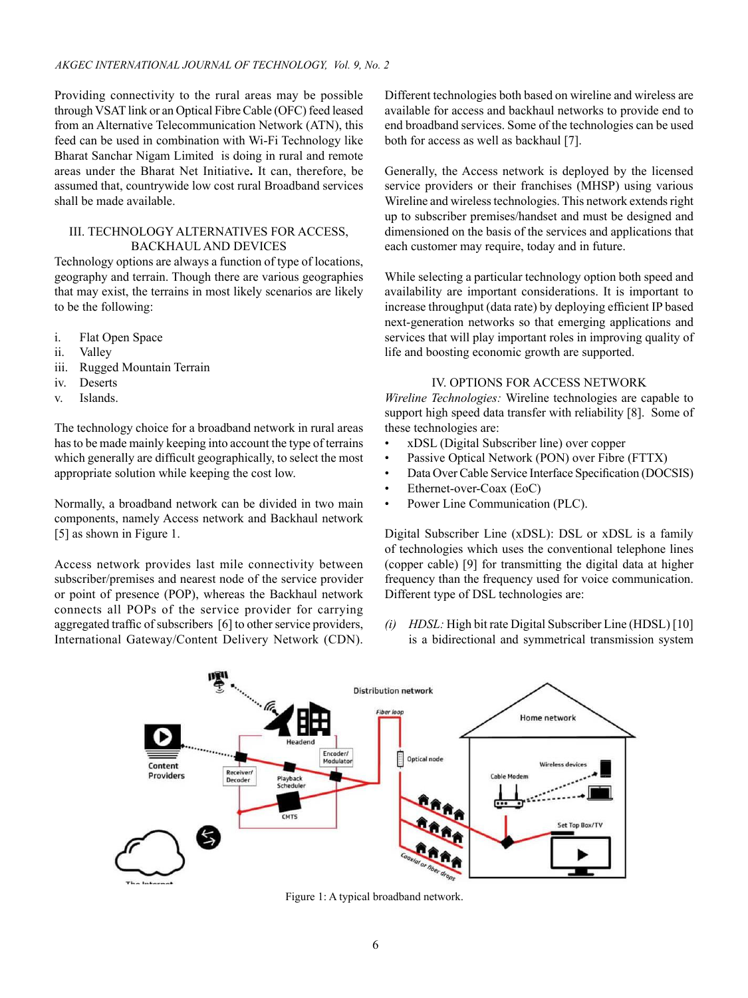Providing connectivity to the rural areas may be possible through VSAT link or an Optical Fibre Cable (OFC) feed leased from an Alternative Telecommunication Network (ATN), this feed can be used in combination with Wi-Fi Technology like Bharat Sanchar Nigam Limited is doing in rural and remote areas under the Bharat Net Initiative**.** It can, therefore, be assumed that, countrywide low cost rural Broadband services shall be made available.

## III. TECHNOLOGY ALTERNATIVES FOR ACCESS, BACKHAUL and DEVICES

Technology options are always a function of type of locations, geography and terrain. Though there are various geographies that may exist, the terrains in most likely scenarios are likely to be the following:

- i. Flat Open Space
- ii. Valley
- iii. Rugged Mountain Terrain
- iv. Deserts
- v. Islands.

The technology choice for a broadband network in rural areas has to be made mainly keeping into account the type of terrains which generally are difficult geographically, to select the most appropriate solution while keeping the cost low.

Normally, a broadband network can be divided in two main components, namely Access network and Backhaul network [5] as shown in Figure 1.

Access network provides last mile connectivity between subscriber/premises and nearest node of the service provider or point of presence (POP), whereas the Backhaul network connects all POPs of the service provider for carrying aggregated traffic of subscribers [6] to other service providers, International Gateway/Content Delivery Network (CDN). Different technologies both based on wireline and wireless are available for access and backhaul networks to provide end to end broadband services. Some of the technologies can be used both for access as well as backhaul [7].

Generally, the Access network is deployed by the licensed service providers or their franchises (MHSP) using various Wireline and wireless technologies. This network extends right up to subscriber premises/handset and must be designed and dimensioned on the basis of the services and applications that each customer may require, today and in future.

While selecting a particular technology option both speed and availability are important considerations. It is important to increase throughput (data rate) by deploying efficient IP based next-generation networks so that emerging applications and services that will play important roles in improving quality of life and boosting economic growth are supported.

## IV. OPTIONS FOR ACCESS NETWORK

*Wireline Technologies:* Wireline technologies are capable to support high speed data transfer with reliability [8]. Some of these technologies are:

- xDSL (Digital Subscriber line) over copper
- Passive Optical Network (PON) over Fibre (FTTX)
- Data Over Cable Service Interface Specification (DOCSIS)
- Ethernet-over-Coax (EoC)
- Power Line Communication (PLC).

Digital Subscriber Line (xDSL): DSL or xDSL is a family of technologies which uses the conventional telephone lines (copper cable) [9] for transmitting the digital data at higher frequency than the frequency used for voice communication. Different type of DSL technologies are:

*(i) HDSL:* High bit rate Digital Subscriber Line (HDSL) [10] is a bidirectional and symmetrical transmission system



Figure 1: A typical broadband network.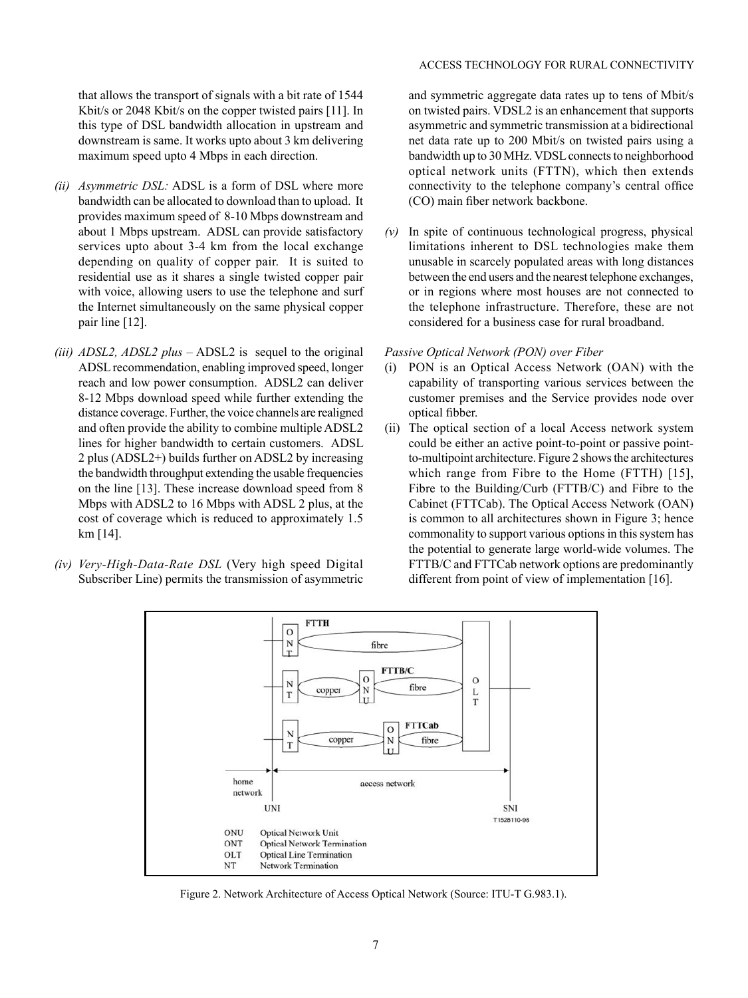that allows the transport of signals with a bit rate of 1544 Kbit/s or 2048 Kbit/s on the copper twisted pairs [11]. In this type of DSL bandwidth allocation in upstream and downstream is same. It works upto about 3 km delivering maximum speed upto 4 Mbps in each direction.

- *(ii) Asymmetric DSL:* ADSL is a form of DSL where more bandwidth can be allocated to download than to upload. It provides maximum speed of 8-10 Mbps downstream and about 1 Mbps upstream. ADSL can provide satisfactory services upto about 3-4 km from the local exchange depending on quality of copper pair. It is suited to residential use as it shares a single twisted copper pair with voice, allowing users to use the telephone and surf the Internet simultaneously on the same physical copper pair line [12].
- *(iii) ADSL2, ADSL2 plus* ADSL2 is sequel to the original ADSL recommendation, enabling improved speed, longer reach and low power consumption. ADSL2 can deliver 8-12 Mbps download speed while further extending the distance coverage. Further, the voice channels are realigned and often provide the ability to combine multiple ADSL2 lines for higher bandwidth to certain customers. ADSL 2 plus (ADSL2+) builds further on ADSL2 by increasing the bandwidth throughput extending the usable frequencies on the line [13]. These increase download speed from 8 Mbps with ADSL2 to 16 Mbps with ADSL 2 plus, at the cost of coverage which is reduced to approximately 1.5 km [14].
- *(iv) Very-High-Data-Rate DSL* (Very high speed Digital Subscriber Line) permits the transmission of asymmetric

### ACCESS TECHNOLOGY FOR RURAL CONNECTIVITY

and symmetric aggregate data rates up to tens of Mbit/s on twisted pairs. VDSL2 is an enhancement that supports asymmetric and symmetric transmission at a bidirectional net data rate up to 200 Mbit/s on twisted pairs using a bandwidth up to 30 MHz. VDSL connects to neighborhood optical network units (FTTN), which then extends connectivity to the telephone company's central office (CO) main fiber network backbone.

*(v)* In spite of continuous technological progress, physical limitations inherent to DSL technologies make them unusable in scarcely populated areas with long distances between the end users and the nearest telephone exchanges, or in regions where most houses are not connected to the telephone infrastructure. Therefore, these are not considered for a business case for rural broadband.

# *Passive Optical Network (PON) over Fiber*

- PON is an Optical Access Network (OAN) with the capability of transporting various services between the customer premises and the Service provides node over optical fibber.
- (ii) The optical section of a local Access network system could be either an active point-to-point or passive pointto-multipoint architecture. Figure 2 shows the architectures which range from Fibre to the Home (FTTH) [15], Fibre to the Building/Curb (FTTB/C) and Fibre to the Cabinet (FTTCab). The Optical Access Network (OAN) is common to all architectures shown in Figure 3; hence commonality to support various options in this system has the potential to generate large world-wide volumes. The FTTB/C and FTTCab network options are predominantly different from point of view of implementation [16].



Figure 2. Network Architecture of Access Optical Network (Source: ITU-T G.983.1).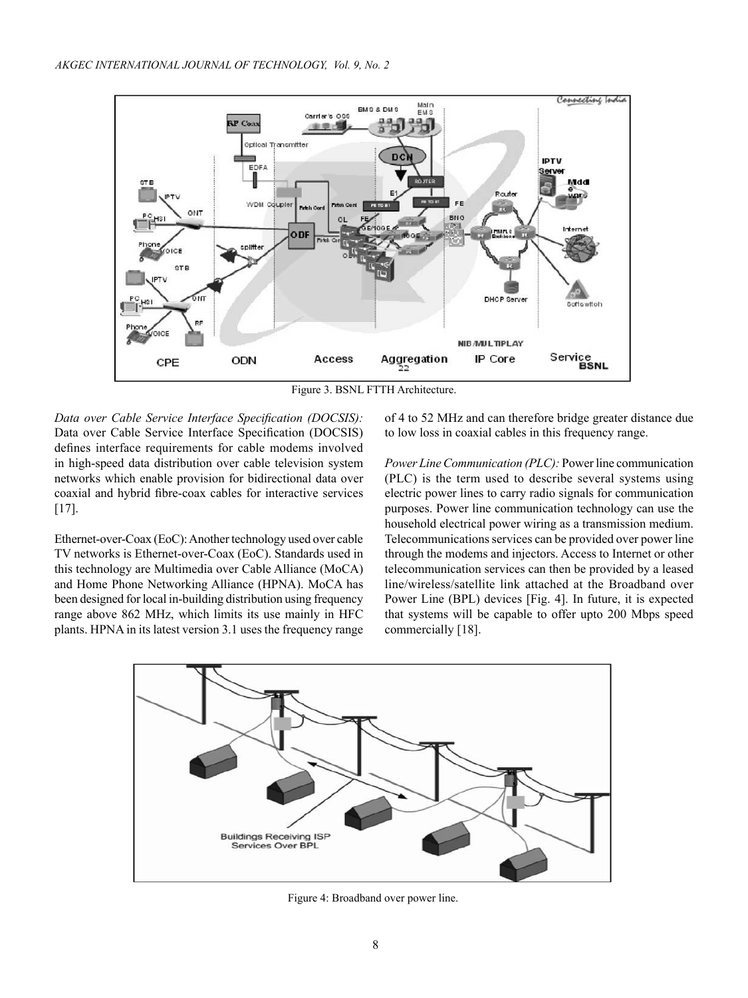

Figure 3. BSNL FTTH Architecture.

*Data over Cable Service Interface Specification (DOCSIS):*  Data over Cable Service Interface Specification (DOCSIS) defines interface requirements for cable modems involved in high-speed data distribution over cable television system networks which enable provision for bidirectional data over coaxial and hybrid fibre-coax cables for interactive services [17].

Ethernet-over-Coax (EoC): Another technology used over cable TV networks is Ethernet-over-Coax (EoC). Standards used in this technology are Multimedia over Cable Alliance (MoCA) and Home Phone Networking Alliance (HPNA). MoCA has been designed for local in-building distribution using frequency range above 862 MHz, which limits its use mainly in HFC plants. HPNA in its latest version 3.1 uses the frequency range of 4 to 52 MHz and can therefore bridge greater distance due to low loss in coaxial cables in this frequency range.

*Power Line Communication (PLC):* Power line communication (PLC) is the term used to describe several systems using electric power lines to carry radio signals for communication purposes. Power line communication technology can use the household electrical power wiring as a transmission medium. Telecommunications services can be provided over power line through the modems and injectors. Access to Internet or other telecommunication services can then be provided by a leased line/wireless/satellite link attached at the Broadband over Power Line (BPL) devices [Fig. 4]. In future, it is expected that systems will be capable to offer upto 200 Mbps speed commercially [18].



Figure 4: Broadband over power line.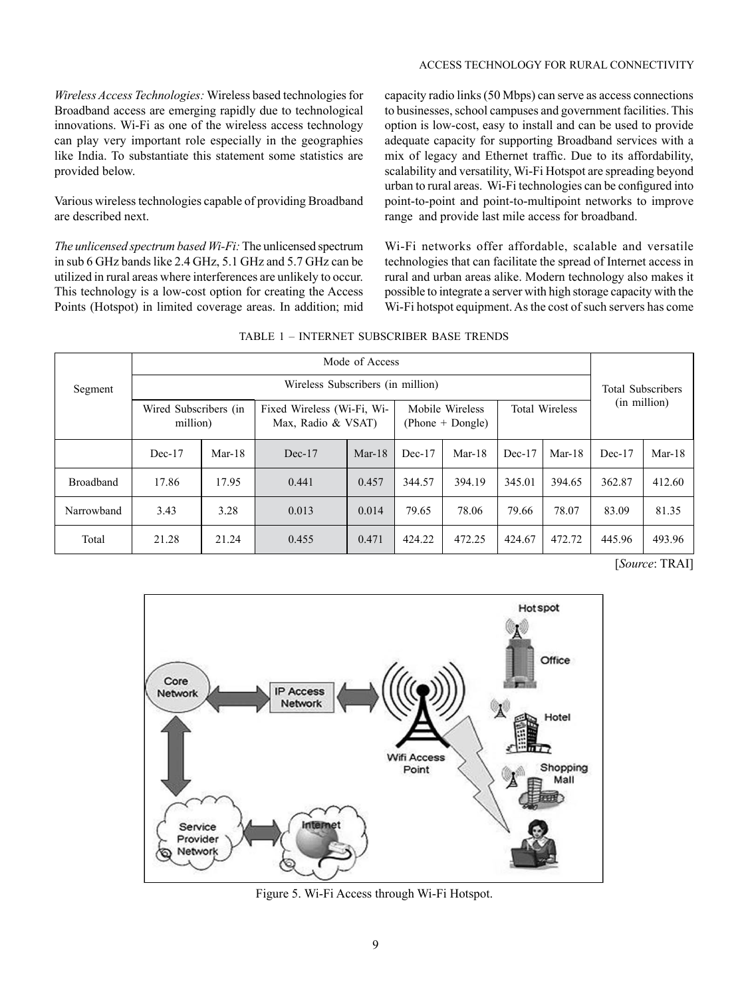#### ACCESS TECHNOLOGY FOR RURAL CONNECTIVITY

*Wireless Access Technologies:* Wireless based technologies for Broadband access are emerging rapidly due to technological innovations. Wi-Fi as one of the wireless access technology can play very important role especially in the geographies like India. To substantiate this statement some statistics are provided below.

Various wireless technologies capable of providing Broadband are described next.

*The unlicensed spectrum based Wi-Fi:* The unlicensed spectrum in sub 6 GHz bands like 2.4 GHz, 5.1 GHz and 5.7 GHz can be utilized in rural areas where interferences are unlikely to occur. This technology is a low-cost option for creating the Access Points (Hotspot) in limited coverage areas. In addition; mid capacity radio links (50 Mbps) can serve as access connections to businesses, school campuses and government facilities. This option is low-cost, easy to install and can be used to provide adequate capacity for supporting Broadband services with a mix of legacy and Ethernet traffic. Due to its affordability, scalability and versatility, Wi-Fi Hotspot are spreading beyond urban to rural areas. Wi-Fi technologies can be configured into point-to-point and point-to-multipoint networks to improve range and provide last mile access for broadband.

Wi-Fi networks offer affordable, scalable and versatile technologies that can facilitate the spread of Internet access in rural and urban areas alike. Modern technology also makes it possible to integrate a server with high storage capacity with the Wi-Fi hotspot equipment. As the cost of such servers has come

|                  | Mode of Access                    |          |                                                  |        |                                       |                          |                       |          |              |          |
|------------------|-----------------------------------|----------|--------------------------------------------------|--------|---------------------------------------|--------------------------|-----------------------|----------|--------------|----------|
| Segment          | Wireless Subscribers (in million) |          |                                                  |        |                                       | <b>Total Subscribers</b> |                       |          |              |          |
|                  | Wired Subscribers (in<br>million) |          | Fixed Wireless (Wi-Fi, Wi-<br>Max, Radio & VSAT) |        | Mobile Wireless<br>$(Phone + Dongle)$ |                          | <b>Total Wireless</b> |          | (in million) |          |
|                  | $Dec-17$                          | $Mar-18$ | Dec-17                                           | Mar-18 | $Dec-17$                              | $Mar-18$                 | Dec-17                | $Mar-18$ | $Dec-17$     | $Mar-18$ |
| <b>Broadband</b> | 17.86                             | 17.95    | 0.441                                            | 0.457  | 344.57                                | 394.19                   | 345.01                | 394.65   | 362.87       | 412.60   |
| Narrowband       | 3.43                              | 3.28     | 0.013                                            | 0.014  | 79.65                                 | 78.06                    | 79.66                 | 78.07    | 83.09        | 81.35    |
| Total            | 21.28                             | 21.24    | 0.455                                            | 0.471  | 424.22                                | 472.25                   | 424.67                | 472.72   | 445.96       | 493.96   |

|  | TABLE 1 - INTERNET SUBSCRIBER BASE TRENDS |
|--|-------------------------------------------|
|  |                                           |

[*Source*: TRAI]



Figure 5. Wi-Fi Access through Wi-Fi Hotspot.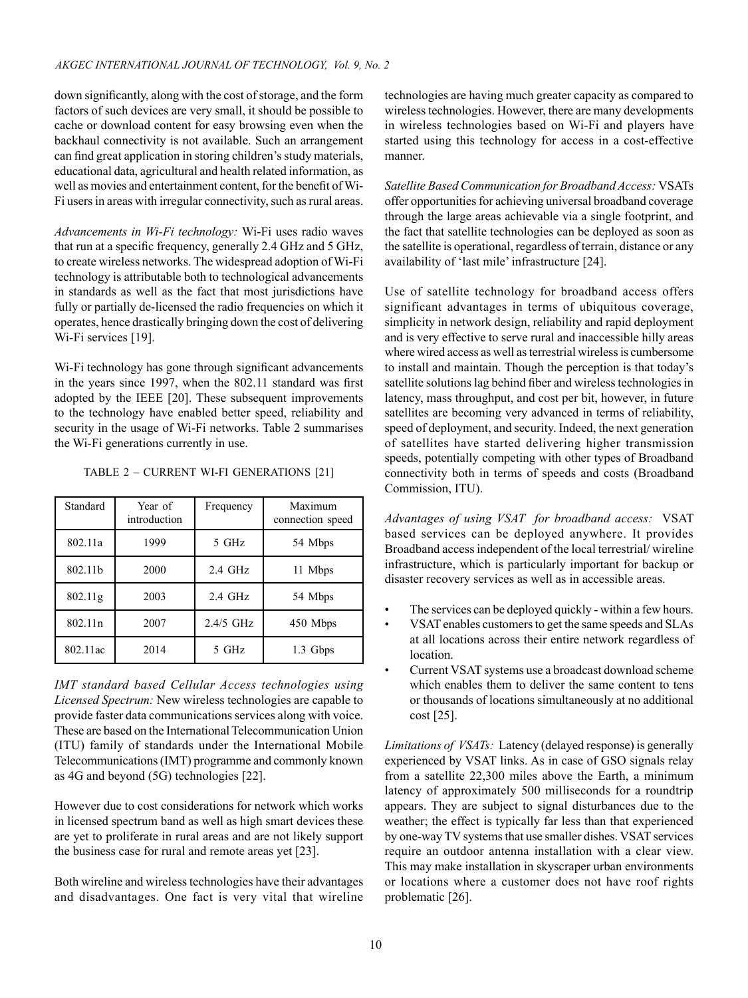down significantly, along with the cost of storage, and the form factors of such devices are very small, it should be possible to cache or download content for easy browsing even when the backhaul connectivity is not available. Such an arrangement can find great application in storing children's study materials, educational data, agricultural and health related information, as well as movies and entertainment content, for the benefit of Wi-Fi users in areas with irregular connectivity, such as rural areas.

*Advancements in Wi-Fi technology:* Wi-Fi uses radio waves that run at a specific frequency, generally 2.4 GHz and 5 GHz, to create wireless networks. The widespread adoption of Wi-Fi technology is attributable both to technological advancements in standards as well as the fact that most jurisdictions have fully or partially de-licensed the radio frequencies on which it operates, hence drastically bringing down the cost of delivering Wi-Fi services [19].

Wi-Fi technology has gone through significant advancements in the years since 1997, when the 802.11 standard was first adopted by the IEEE [20]. These subsequent improvements to the technology have enabled better speed, reliability and security in the usage of Wi-Fi networks. Table 2 summarises the Wi-Fi generations currently in use.

| Standard | Year of<br>introduction | Frequency        | Maximum<br>connection speed |
|----------|-------------------------|------------------|-----------------------------|
| 802.11a  | 1999                    | 5 GHz            | 54 Mbps                     |
| 802.11b  | 2000                    | $2.4$ GHz        | 11 Mbps                     |
| 802.11g  | 2003                    | $2.4\text{ GHz}$ | 54 Mbps                     |
| 802.11n  | 2007                    | $2.4/5$ GHz      | 450 Mbps                    |
| 802.11ac | 2014                    | 5 GHz            | 1.3 Gbps                    |

TABLE 2 – CURRENT WI-FI GENERATIONS [21]

*IMT standard based Cellular Access technologies using Licensed Spectrum:* New wireless technologies are capable to provide faster data communications services along with voice. These are based on the International Telecommunication Union (ITU) family of standards under the International Mobile Telecommunications (IMT) programme and commonly known as 4G and beyond (5G) technologies [22].

However due to cost considerations for network which works in licensed spectrum band as well as high smart devices these are yet to proliferate in rural areas and are not likely support the business case for rural and remote areas yet [23].

Both wireline and wireless technologies have their advantages and disadvantages. One fact is very vital that wireline technologies are having much greater capacity as compared to wireless technologies. However, there are many developments in wireless technologies based on Wi-Fi and players have started using this technology for access in a cost-effective manner.

*Satellite Based Communication for Broadband Access:* VSATs offer opportunities for achieving universal broadband coverage through the large areas achievable via a single footprint, and the fact that satellite technologies can be deployed as soon as the satellite is operational, regardless of terrain, distance or any availability of 'last mile' infrastructure [24].

Use of satellite technology for broadband access offers significant advantages in terms of ubiquitous coverage, simplicity in network design, reliability and rapid deployment and is very effective to serve rural and inaccessible hilly areas where wired access as well as terrestrial wireless is cumbersome to install and maintain. Though the perception is that today's satellite solutions lag behind fiber and wireless technologies in latency, mass throughput, and cost per bit, however, in future satellites are becoming very advanced in terms of reliability, speed of deployment, and security. Indeed, the next generation of satellites have started delivering higher transmission speeds, potentially competing with other types of Broadband connectivity both in terms of speeds and costs (Broadband Commission, ITU).

*Advantages of using VSAT for broadband access:* VSAT based services can be deployed anywhere. It provides Broadband access independent of the local terrestrial/ wireline infrastructure, which is particularly important for backup or disaster recovery services as well as in accessible areas.

- The services can be deployed quickly within a few hours.
- VSAT enables customers to get the same speeds and SLAs at all locations across their entire network regardless of location.
- Current VSAT systems use a broadcast download scheme which enables them to deliver the same content to tens or thousands of locations simultaneously at no additional cost [25].

*Limitations of VSATs:* Latency (delayed response) is generally experienced by VSAT links. As in case of GSO signals relay from a satellite 22,300 miles above the Earth, a minimum latency of approximately 500 milliseconds for a roundtrip appears. They are subject to signal disturbances due to the weather; the effect is typically far less than that experienced by one-way TV systems that use smaller dishes. VSAT services require an outdoor antenna installation with a clear view. This may make installation in skyscraper urban environments or locations where a customer does not have roof rights problematic [26].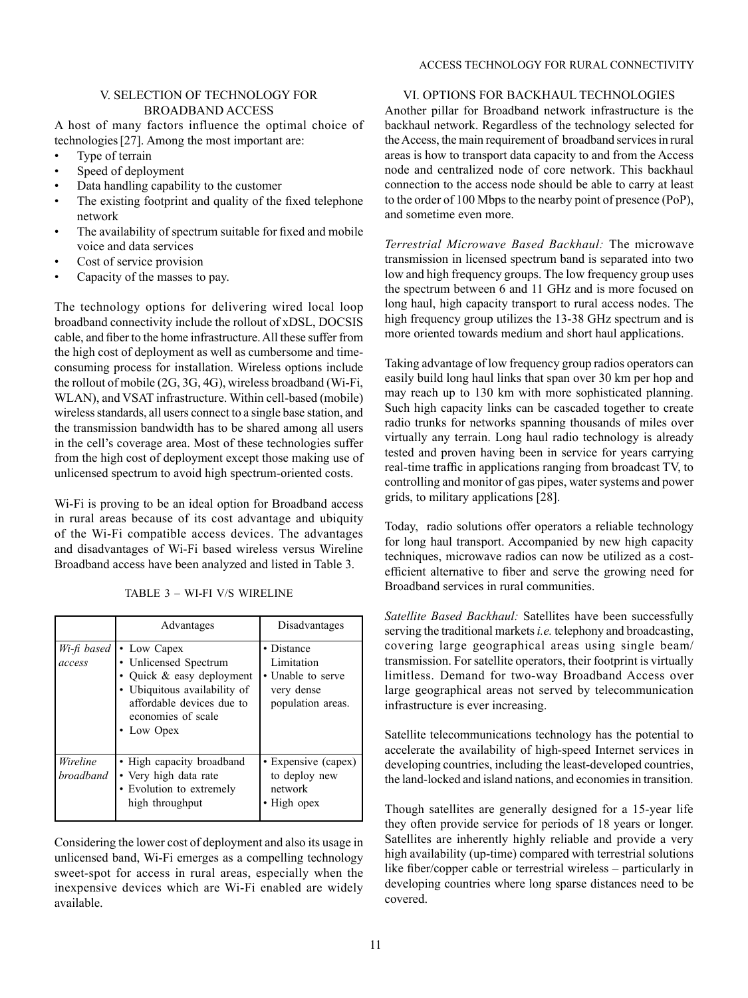#### ACCESS TECHNOLOGY FOR RURAL CONNECTIVITY

## V. SELECTION OF TECHNOLOGY FOR BROADBAND ACCESS

A host of many factors influence the optimal choice of technologies[27]. Among the most important are:

- Type of terrain
- Speed of deployment
- Data handling capability to the customer
- The existing footprint and quality of the fixed telephone network
- The availability of spectrum suitable for fixed and mobile voice and data services
- Cost of service provision
- Capacity of the masses to pay.

The technology options for delivering wired local loop broadband connectivity include the rollout of xDSL, DOCSIS cable, and fiber to the home infrastructure. All these suffer from the high cost of deployment as well as cumbersome and timeconsuming process for installation. Wireless options include the rollout of mobile (2G, 3G, 4G), wireless broadband (Wi-Fi, WLAN), and VSAT infrastructure. Within cell-based (mobile) wireless standards, all users connect to a single base station, and the transmission bandwidth has to be shared among all users in the cell's coverage area. Most of these technologies suffer from the high cost of deployment except those making use of unlicensed spectrum to avoid high spectrum-oriented costs.

Wi-Fi is proving to be an ideal option for Broadband access in rural areas because of its cost advantage and ubiquity of the Wi-Fi compatible access devices. The advantages and disadvantages of Wi-Fi based wireless versus Wireline Broadband access have been analyzed and listed in Table 3.

|                       | Advantages                                                                                                                                                       | Disadvantages                                                                    |
|-----------------------|------------------------------------------------------------------------------------------------------------------------------------------------------------------|----------------------------------------------------------------------------------|
| Wi-fi based<br>access | • Low Capex<br>• Unlicensed Spectrum<br>Quick & easy deployment<br>• Ubiquitous availability of<br>affordable devices due to<br>economies of scale<br>• Low Opex | • Distance<br>Limitation<br>• Unable to serve<br>very dense<br>population areas. |
| Wireline<br>broadband | • High capacity broadband<br>• Very high data rate<br>• Evolution to extremely<br>high throughput                                                                | • Expensive (capex)<br>to deploy new<br>network<br>• High opex                   |

TABLE 3 – WI-FI V/S WIRELINE

Considering the lower cost of deployment and also its usage in unlicensed band, Wi-Fi emerges as a compelling technology sweet-spot for access in rural areas, especially when the inexpensive devices which are Wi-Fi enabled are widely available.

# VI. OPTIONS FOR BACKHAUL TECHNOLOGIES

Another pillar for Broadband network infrastructure is the backhaul network. Regardless of the technology selected for the Access, the main requirement of broadband services in rural areas is how to transport data capacity to and from the Access node and centralized node of core network. This backhaul connection to the access node should be able to carry at least to the order of 100 Mbps to the nearby point of presence (PoP), and sometime even more.

*Terrestrial Microwave Based Backhaul:* The microwave transmission in licensed spectrum band is separated into two low and high frequency groups. The low frequency group uses the spectrum between 6 and 11 GHz and is more focused on long haul, high capacity transport to rural access nodes. The high frequency group utilizes the 13-38 GHz spectrum and is more oriented towards medium and short haul applications.

Taking advantage of low frequency group radios operators can easily build long haul links that span over 30 km per hop and may reach up to 130 km with more sophisticated planning. Such high capacity links can be cascaded together to create radio trunks for networks spanning thousands of miles over virtually any terrain. Long haul radio technology is already tested and proven having been in service for years carrying real-time traffic in applications ranging from broadcast TV, to controlling and monitor of gas pipes, water systems and power grids, to military applications [28].

Today, radio solutions offer operators a reliable technology for long haul transport. Accompanied by new high capacity techniques, microwave radios can now be utilized as a costefficient alternative to fiber and serve the growing need for Broadband services in rural communities.

*Satellite Based Backhaul:* Satellites have been successfully serving the traditional markets *i.e.* telephony and broadcasting, covering large geographical areas using single beam/ transmission. For satellite operators, their footprint is virtually limitless. Demand for two-way Broadband Access over large geographical areas not served by telecommunication infrastructure is ever increasing.

Satellite telecommunications technology has the potential to accelerate the availability of high-speed Internet services in developing countries, including the least-developed countries, the land-locked and island nations, and economies in transition.

Though satellites are generally designed for a 15-year life they often provide service for periods of 18 years or longer. Satellites are inherently highly reliable and provide a very high availability (up-time) compared with terrestrial solutions like fiber/copper cable or terrestrial wireless – particularly in developing countries where long sparse distances need to be covered.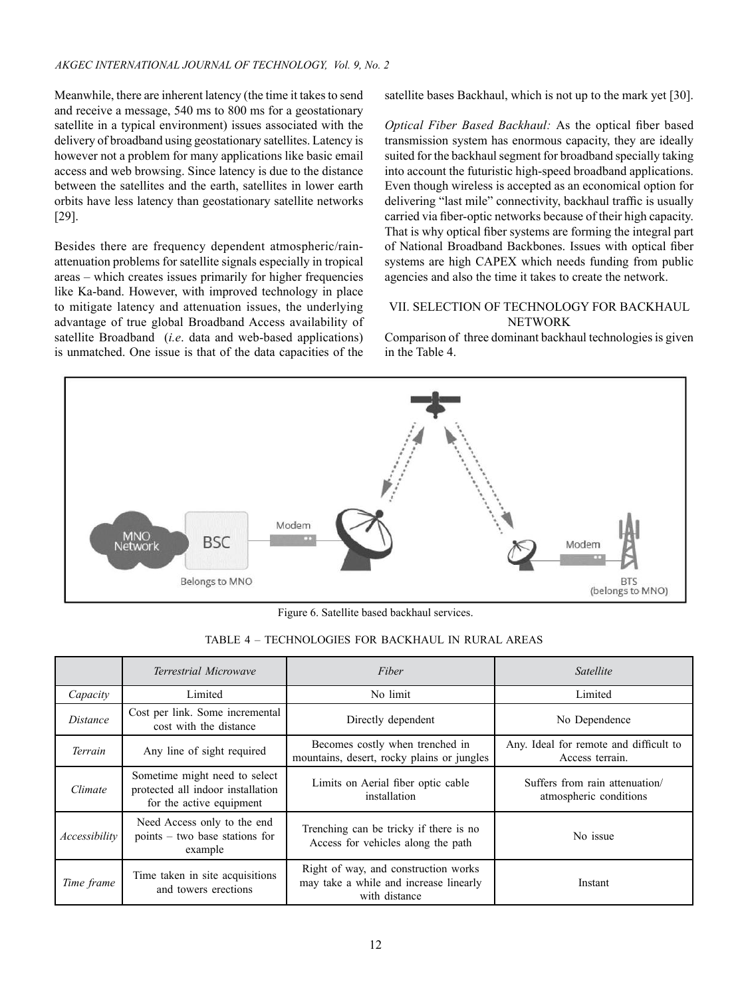Meanwhile, there are inherent latency (the time it takes to send and receive a message, 540 ms to 800 ms for a geostationary satellite in a typical environment) issues associated with the delivery of broadband using geostationary satellites. Latency is however not a problem for many applications like basic email access and web browsing. Since latency is due to the distance between the satellites and the earth, satellites in lower earth orbits have less latency than geostationary satellite networks [29].

Besides there are frequency dependent atmospheric/rainattenuation problems for satellite signals especially in tropical areas – which creates issues primarily for higher frequencies like Ka-band. However, with improved technology in place to mitigate latency and attenuation issues, the underlying advantage of true global Broadband Access availability of satellite Broadband (*i.e*. data and web-based applications) is unmatched. One issue is that of the data capacities of the

satellite bases Backhaul, which is not up to the mark yet [30].

*Optical Fiber Based Backhaul:* As the optical fiber based transmission system has enormous capacity, they are ideally suited for the backhaul segment for broadband specially taking into account the futuristic high-speed broadband applications. Even though wireless is accepted as an economical option for delivering "last mile" connectivity, backhaul traffic is usually carried via fiber-optic networks because of their high capacity. That is why optical fiber systems are forming the integral part of National Broadband Backbones. Issues with optical fiber systems are high CAPEX which needs funding from public agencies and also the time it takes to create the network.

## VII. SELECTION OF TECHNOLOGY FOR BACKHAUL NETWORK

Comparison of three dominant backhaul technologies is given in the Table 4.



Figure 6. Satellite based backhaul services.

| TABLE 4 – TECHNOLOGIES FOR BACKHAUL IN RURAL AREAS |  |  |  |  |
|----------------------------------------------------|--|--|--|--|
|----------------------------------------------------|--|--|--|--|

|                 | Terrestrial Microwave                                                                          | Fiber                                                                                           | Satellite                                                 |  |
|-----------------|------------------------------------------------------------------------------------------------|-------------------------------------------------------------------------------------------------|-----------------------------------------------------------|--|
| Capacity        | Limited                                                                                        | No limit                                                                                        | Limited                                                   |  |
| <i>Distance</i> | Cost per link. Some incremental<br>cost with the distance                                      | Directly dependent                                                                              | No Dependence                                             |  |
| Terrain         | Any line of sight required                                                                     | Becomes costly when trenched in<br>mountains, desert, rocky plains or jungles                   | Any. Ideal for remote and difficult to<br>Access terrain. |  |
| Climate         | Sometime might need to select<br>protected all indoor installation<br>for the active equipment | Limits on Aerial fiber optic cable<br>installation                                              | Suffers from rain attenuation/<br>atmospheric conditions  |  |
| Accessibility   | Need Access only to the end<br>$points - two base stations for$<br>example                     | Trenching can be tricky if there is no<br>Access for vehicles along the path                    | No issue                                                  |  |
| Time frame      | Time taken in site acquisitions<br>and towers erections                                        | Right of way, and construction works<br>may take a while and increase linearly<br>with distance | Instant                                                   |  |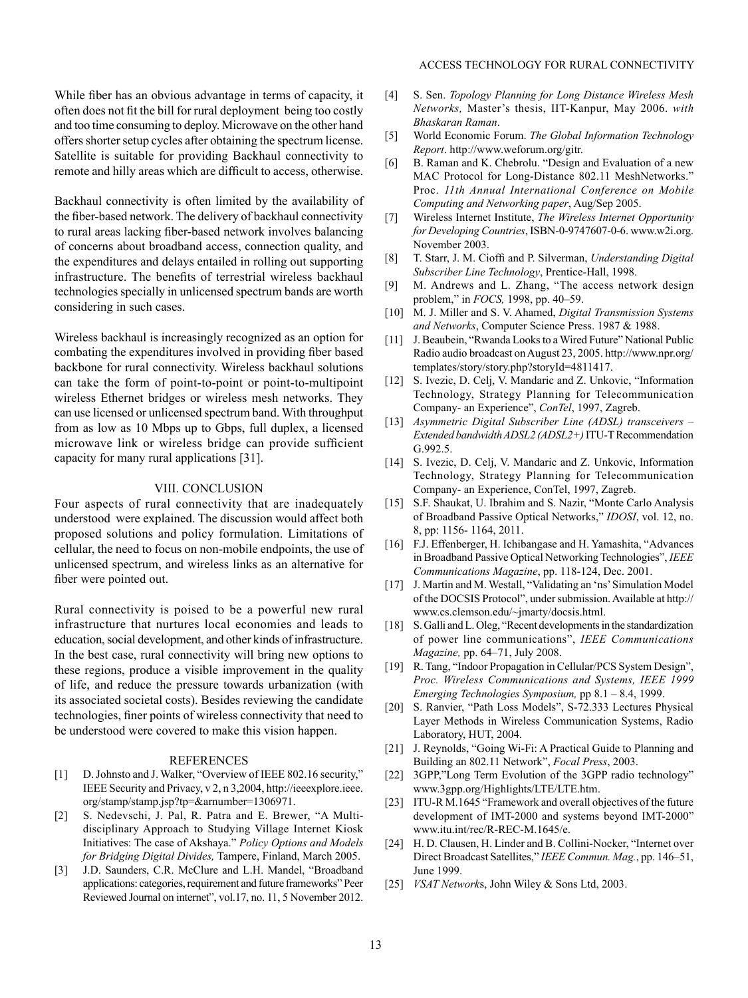While fiber has an obvious advantage in terms of capacity, it often does not fit the bill for rural deployment being too costly and too time consuming to deploy. Microwave on the other hand offers shorter setup cycles after obtaining the spectrum license. Satellite is suitable for providing Backhaul connectivity to remote and hilly areas which are difficult to access, otherwise.

Backhaul connectivity is often limited by the availability of the fiber-based network. The delivery of backhaul connectivity to rural areas lacking fiber-based network involves balancing of concerns about broadband access, connection quality, and the expenditures and delays entailed in rolling out supporting infrastructure. The benefits of terrestrial wireless backhaul technologies specially in unlicensed spectrum bands are worth considering in such cases.

Wireless backhaul is increasingly recognized as an option for combating the expenditures involved in providing fiber based backbone for rural connectivity. Wireless backhaul solutions can take the form of point-to-point or point-to-multipoint wireless Ethernet bridges or wireless mesh networks. They can use licensed or unlicensed spectrum band. With throughput from as low as 10 Mbps up to Gbps, full duplex, a licensed microwave link or wireless bridge can provide sufficient capacity for many rural applications [31].

#### VIII. CONCLUSION

Four aspects of rural connectivity that are inadequately understood were explained. The discussion would affect both proposed solutions and policy formulation. Limitations of cellular, the need to focus on non-mobile endpoints, the use of unlicensed spectrum, and wireless links as an alternative for fiber were pointed out.

Rural connectivity is poised to be a powerful new rural infrastructure that nurtures local economies and leads to education, social development, and other kinds of infrastructure. In the best case, rural connectivity will bring new options to these regions, produce a visible improvement in the quality of life, and reduce the pressure towards urbanization (with its associated societal costs). Besides reviewing the candidate technologies, finer points of wireless connectivity that need to be understood were covered to make this vision happen.

#### REFERENCES

- [1] D. Johnsto and J. Walker, "Overview of IEEE 802.16 security," IEEE Security and Privacy, v 2, n 3,2004, http://ieeexplore.ieee. org/stamp/stamp.jsp?tp=&arnumber=1306971.
- [2] S. Nedevschi, J. Pal, R. Patra and E. Brewer, "A Multidisciplinary Approach to Studying Village Internet Kiosk Initiatives: The case of Akshaya." *Policy Options and Models for Bridging Digital Divides,* Tampere, Finland, March 2005.
- [3] J.D. Saunders, C.R. McClure and L.H. Mandel, "Broadband applications: categories, requirement and future frameworks" Peer Reviewed Journal on internet", vol.17, no. 11, 5 November 2012.
- [4] S. Sen. *Topology Planning for Long Distance Wireless Mesh Networks,* Master's thesis, IIT-Kanpur, May 2006. *with Bhaskaran Raman*.
- [5] World Economic Forum. *The Global Information Technology Report*. http://www.weforum.org/gitr.
- [6] B. Raman and K. Chebrolu. "Design and Evaluation of a new MAC Protocol for Long-Distance 802.11 MeshNetworks." Proc. *11th Annual International Conference on Mobile Computing and Networking paper*, Aug/Sep 2005.
- [7] Wireless Internet Institute, *The Wireless Internet Opportunity for Developing Countries*, ISBN-0-9747607-0-6. www.w2i.org. November 2003.
- [8] T. Starr, J. M. Cioffi and P. Silverman, *Understanding Digital Subscriber Line Technology*, Prentice-Hall, 1998.
- [9] M. Andrews and L. Zhang, "The access network design problem," in *FOCS,* 1998, pp. 40–59.
- [10] M. J. Miller and S. V. Ahamed, *Digital Transmission Systems and Networks*, Computer Science Press. 1987 & 1988.
- [11] J. Beaubein, "Rwanda Looks to a Wired Future" National Public Radio audio broadcast on August 23, 2005. http://www.npr.org/ templates/story/story.php?storyId=4811417.
- [12] S. Ivezic, D. Celj, V. Mandaric and Z. Unkovic, "Information Technology, Strategy Planning for Telecommunication Company- an Experience", *ConTel*, 1997, Zagreb.
- [13] *Asymmetric Digital Subscriber Line (ADSL) transceivers Extended bandwidth ADSL2 (ADSL2+)* ITU-T Recommendation G.992.5.
- [14] S. Ivezic, D. Celj, V. Mandaric and Z. Unkovic, Information Technology, Strategy Planning for Telecommunication Company- an Experience, ConTel, 1997, Zagreb.
- [15] S.F. Shaukat, U. Ibrahim and S. Nazir, "Monte Carlo Analysis of Broadband Passive Optical Networks," *IDOSI*, vol. 12, no. 8, pp: 1156- 1164, 2011.
- [16] F.J. Effenberger, H. Ichibangase and H. Yamashita, "Advances in Broadband Passive Optical Networking Technologies", *IEEE Communications Magazine*, pp. 118-124, Dec. 2001.
- [17] J. Martin and M. Westall, "Validating an 'ns' Simulation Model of the DOCSIS Protocol", under submission. Available at http:// www.cs.clemson.edu/~jmarty/docsis.html.
- [18] S. Galli and L. Oleg, "Recent developments in the standardization of power line communications", *IEEE Communications Magazine,* pp. 64–71, July 2008.
- [19] R. Tang, "Indoor Propagation in Cellular/PCS System Design", *Proc. Wireless Communications and Systems, IEEE 1999 Emerging Technologies Symposium,* pp 8.1 – 8.4, 1999.
- [20] S. Ranvier, "Path Loss Models", S-72.333 Lectures Physical Layer Methods in Wireless Communication Systems, Radio Laboratory, HUT, 2004.
- [21] J. Reynolds, "Going Wi-Fi: A Practical Guide to Planning and Building an 802.11 Network", *Focal Press*, 2003.
- [22] 3GPP,"Long Term Evolution of the 3GPP radio technology" www.3gpp.org/Highlights/LTE/LTE.htm.
- [23] ITU-R M.1645 "Framework and overall objectives of the future development of IMT-2000 and systems beyond IMT-2000" www.itu.int/rec/R-REC-M.1645/e.
- [24] H. D. Clausen, H. Linder and B. Collini-Nocker, "Internet over Direct Broadcast Satellites," *IEEE Commun. Mag.*, pp. 146–51, June 1999.
- [25] *Vsat Network*s, John Wiley & Sons Ltd, 2003.